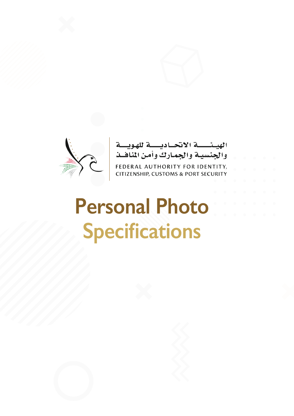



# **Personal Photo Specifications**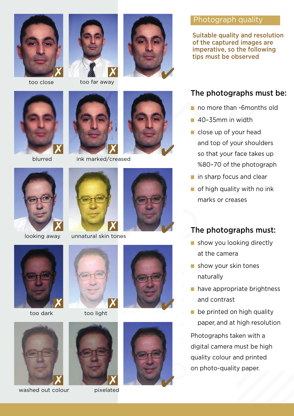



too close too far away





blurred ink marked/creased













#### Photograph quality

Suitable quality and resolution of the captured images are imperative, so the following tips must be observed

# The photographs must be:

- no more than -6months old
- 40–35mm in width
- close up of your head and top of your shoulders so that your face takes up %80–70 of the photograph
- **in sharp focus and clear**
- **of high quality with no ink** marks or creases

# **looking away** unnatural skin tones The photographs must:

- show you looking directly at the camera
- show your skin tones naturally
- have appropriate brightness
- and contrast
- **be printed on high quality** paper, and at high resolution

Photographs taken with a digital camera must be high quality colour and printed on photo-quality paper.



washed out colour pixelated













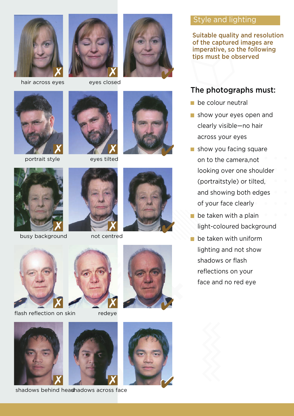

hair across eyes eyes closed









portrait style eyes tilted









flash reflection on skin redeye







## Style and lighting

Suitable quality and resolution of the captured images are imperative, so the following tips must be observed

# The photographs must:

- **be colour neutral**
- show your eyes open and clearly visible—no hair across your eyes
- show you facing square on to the camera,not looking over one shoulder (portraitstyle) or tilted, and showing both edges of your face clearly
- $\blacksquare$  be taken with a plain light-coloured background
- be taken with uniform lighting and not show shadows or flash reflections on your face and no red eye







shadows behind headhadows across face